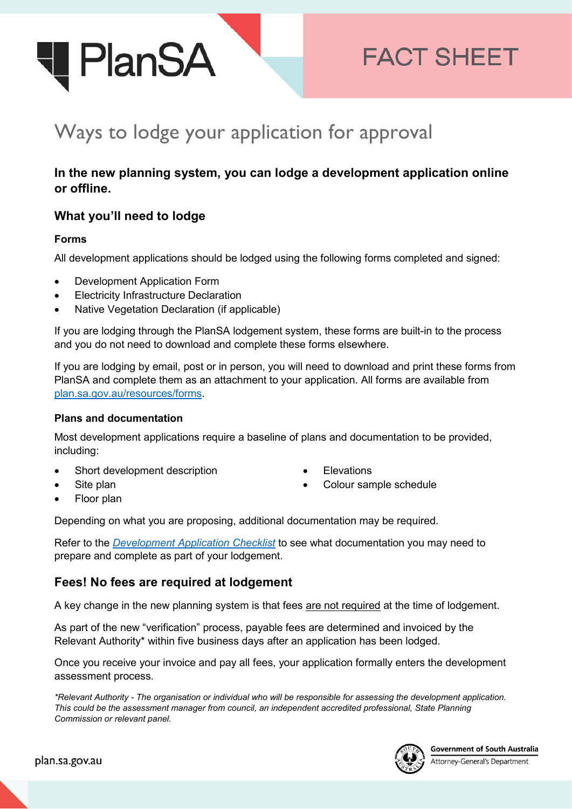

# **FACT SHEET**

# Ways to lodge your application for approval

# **In the new planning system, you can lodge a development application online or offline.**

## **What you'll need to lodge**

#### **Forms**

All development applications should be lodged using the following forms completed and signed:

- Development Application Form
- Electricity Infrastructure Declaration
- Native Vegetation Declaration (if applicable)

If you are lodging through the PlanSA lodgement system, these forms are built-in to the process and you do not need to download and complete these forms elsewhere.

If you are lodging by email, post or in person, you will need to download and print these forms from PlanSA and complete them as an attachment to your application. All forms are available from [plan.sa.gov.au/resources/forms.](https://plan.sa.gov.au/resources/forms)

#### **Plans and documentation**

Most development applications require a baseline of plans and documentation to be provided, including:

• Short development description

- **Flevations**
- Colour sample schedule

Site plan • Floor plan

Depending on what you are proposing, additional documentation may be required.

Refer to the *[Development Application Checklist](https://plan.sa.gov.au/__data/assets/pdf_file/0006/685536/Fact_Sheet_-_Development_application_checklist.pdf)* to see what documentation you may need to prepare and complete as part of your lodgement.

## **Fees! No fees are required at lodgement**

A key change in the new planning system is that fees are not required at the time of lodgement.

As part of the new "verification" process, payable fees are determined and invoiced by the Relevant Authority\* within five business days after an application has been lodged.

Once you receive your invoice and pay all fees, your application formally enters the development assessment process.

*\*Relevant Authority - The organisation or individual who will be responsible for assessing the development application. This could be the assessment manager from council, an independent accredited professional, State Planning Commission or relevant panel.*



Attorney-General's Department